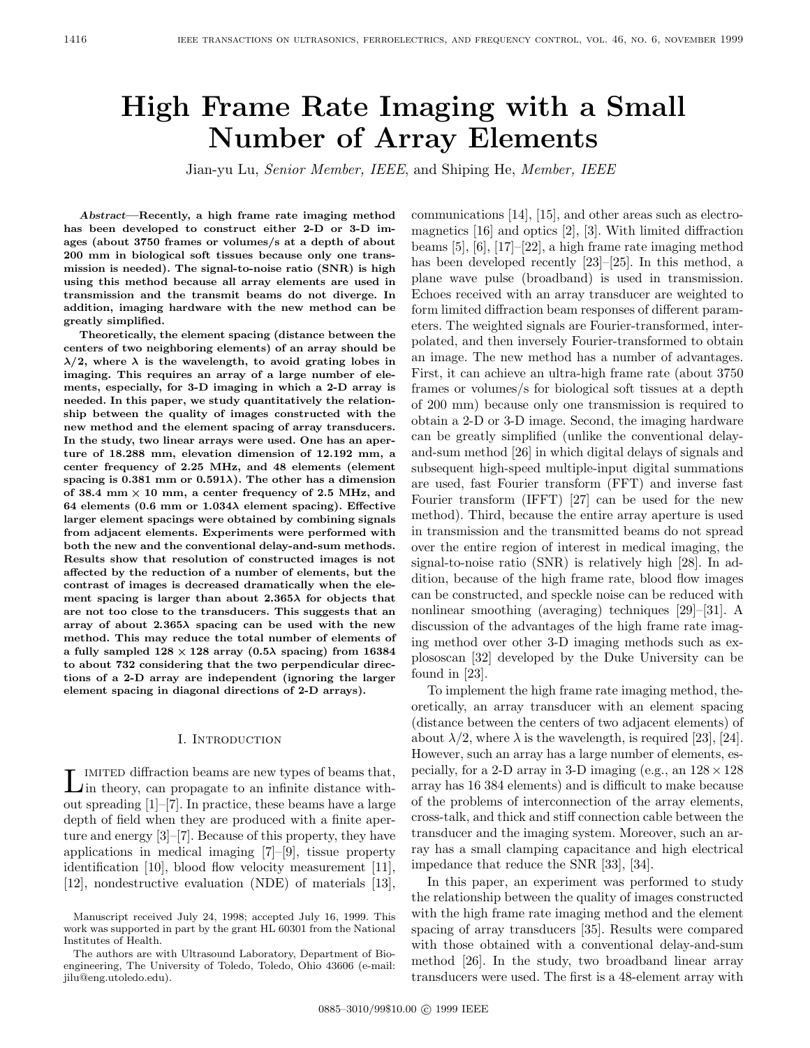# **High Frame Rate Imaging with a Small Number of Array Elements**

Jian-yu Lu, Senior Member, IEEE, and Shiping He, Member, IEEE

*Abstract***—Recently, a high frame rate imaging method has been developed to construct either 2-D or 3-D images (about 3750 frames or volumes/s at a depth of about 200 mm in biological soft tissues because only one transmission is needed). The signal-to-noise ratio (SNR) is high using this method because all array elements are used in transmission and the transmit beams do not diverge. In addition, imaging hardware with the new method can be greatly simplified.**

**Theoretically, the element spacing (distance between the centers of two neighboring elements) of an array should be**  $\lambda/2$ , where  $\lambda$  is the wavelength, to avoid grating lobes in **imaging. This requires an array of a large number of elements, especially, for 3-D imaging in which a 2-D array is needed. In this paper, we study quantitatively the relationship between the quality of images constructed with the new method and the element spacing of array transducers. In the study, two linear arrays were used. One has an aperture of 18.288 mm, elevation dimension of 12.192 mm, a center frequency of 2.25 MHz, and 48 elements (element** spacing is  $0.381$  mm or  $0.591\lambda$ ). The other has a dimension of 38.4 mm  $\times$  10 mm, a center frequency of 2.5 MHz, and **64 elements (0.6 mm or 1**:**034 element spacing). Effective larger element spacings were obtained by combining signals from adjacent elements. Experiments were performed with both the new and the conventional delay-and-sum methods. Results show that resolution of constructed images is not affected by the reduction of a number of elements, but the contrast of images is decreased dramatically when the ele**ment spacing is larger than about  $2.365\lambda$  for objects that **are not too close to the transducers. This suggests that an array of about 2**:**365 spacing can be used with the new method. This may reduce the total number of elements of a fully sampled 128** - **128 array (0**:**5 spacing) from 16384 to about 732 considering that the two perpendicular directions of a 2-D array are independent (ignoring the larger element spacing in diagonal directions of 2-D arrays).**

#### I. Introduction

LIMITED diffraction beams are new types of beams that,<br>in theory, can propagate to an infinite distance without spreading  $[1]-[7]$ . In practice, these beams have a large depth of field when they are produced with a finite aperture and energy [3]–[7]. Because of this property, they have applications in medical imaging [7]–[9], tissue property identification [10], blood flow velocity measurement [11], [12], nondestructive evaluation (NDE) of materials [13],

communications [14], [15], and other areas such as electromagnetics [16] and optics [2], [3]. With limited diffraction beams [5], [6], [17]–[22], a high frame rate imaging method has been developed recently [23]–[25]. In this method, a plane wave pulse (broadband) is used in transmission. Echoes received with an array transducer are weighted to form limited diffraction beam responses of different parameters. The weighted signals are Fourier-transformed, interpolated, and then inversely Fourier-transformed to obtain an image. The new method has a number of advantages. First, it can achieve an ultra-high frame rate (about 3750 frames or volumes/s for biological soft tissues at a depth of 200 mm) because only one transmission is required to obtain a 2-D or 3-D image. Second, the imaging hardware can be greatly simplified (unlike the conventional delayand-sum method [26] in which digital delays of signals and subsequent high-speed multiple-input digital summations are used, fast Fourier transform (FFT) and inverse fast Fourier transform (IFFT) [27] can be used for the new method). Third, because the entire array aperture is used in transmission and the transmitted beams do not spread over the entire region of interest in medical imaging, the signal-to-noise ratio (SNR) is relatively high [28]. In addition, because of the high frame rate, blood flow images can be constructed, and speckle noise can be reduced with nonlinear smoothing (averaging) techniques [29]–[31]. A discussion of the advantages of the high frame rate imaging method over other 3-D imaging methods such as explososcan [32] developed by the Duke University can be found in [23].

To implement the high frame rate imaging method, theoretically, an array transducer with an element spacing (distance between the centers of two adjacent elements) of about  $\lambda/2$ , where  $\lambda$  is the wavelength, is required [23], [24]. However, such an array has a large number of elements, especially, for a 2-D array in 3-D imaging (e.g., an  $128 \times 128$ ) array has 16 384 elements) and is difficult to make because of the problems of interconnection of the array elements, cross-talk, and thick and stiff connection cable between the transducer and the imaging system. Moreover, such an array has a small clamping capacitance and high electrical impedance that reduce the SNR [33], [34].

In this paper, an experiment was performed to study the relationship between the quality of images constructed with the high frame rate imaging method and the element spacing of array transducers [35]. Results were compared with those obtained with a conventional delay-and-sum method [26]. In the study, two broadband linear array transducers were used. The first is a 48-element array with

Manuscript received July 24, 1998; accepted July 16, 1999. This work was supported in part by the grant HL 60301 from the National Institutes of Health.

The authors are with Ultrasound Laboratory, Department of Bioengineering, The University of Toledo, Toledo, Ohio 43606 (e-mail: jilu@eng.utoledo.edu).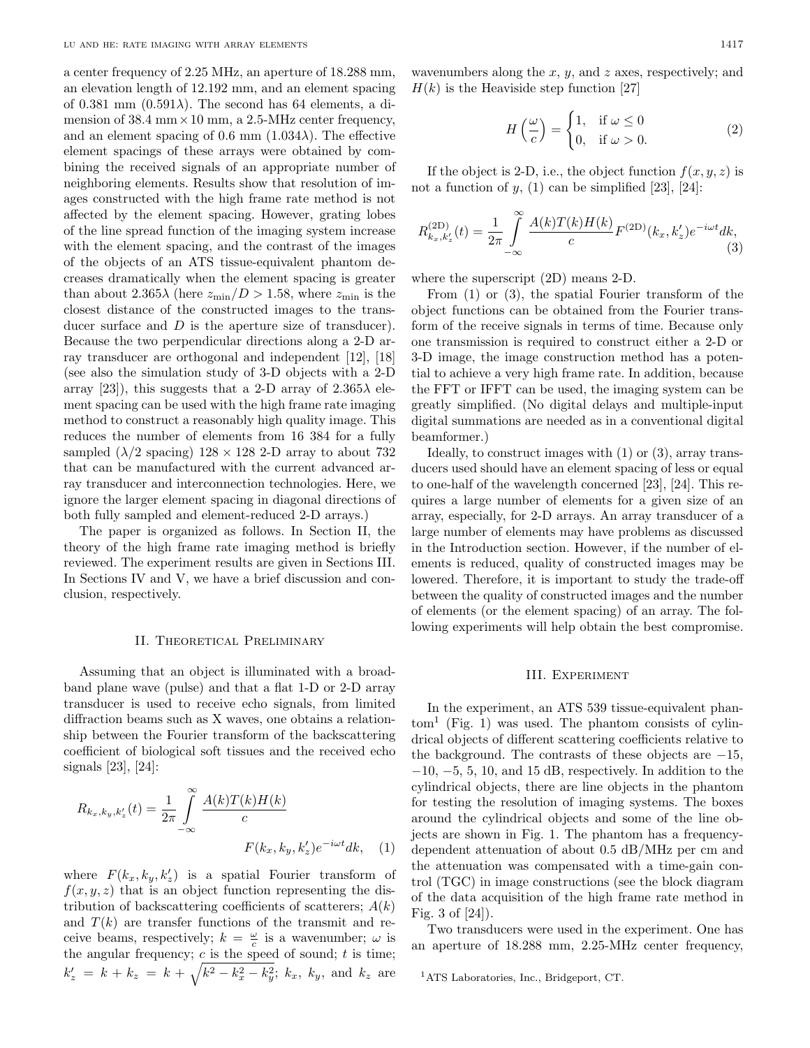a center frequency of 2.25 MHz, an aperture of 18.288 mm, an elevation length of 12.192 mm, and an element spacing of 0.381 mm  $(0.591\lambda)$ . The second has 64 elements, a dimension of  $38.4 \text{ mm} \times 10 \text{ mm}$ , a 2.5-MHz center frequency, and an element spacing of 0.6 mm  $(1.034\lambda)$ . The effective element spacings of these arrays were obtained by combining the received signals of an appropriate number of neighboring elements. Results show that resolution of images constructed with the high frame rate method is not affected by the element spacing. However, grating lobes of the line spread function of the imaging system increase with the element spacing, and the contrast of the images of the objects of an ATS tissue-equivalent phantom decreases dramatically when the element spacing is greater than about 2.365 $\lambda$  (here  $z_{\rm min}/D > 1.58$ , where  $z_{\rm min}$  is the closest distance of the constructed images to the transducer surface and D is the aperture size of transducer). Because the two perpendicular directions along a 2-D array transducer are orthogonal and independent [12], [18] (see also the simulation study of 3-D objects with a 2-D array [23]), this suggests that a 2-D array of  $2.365\lambda$  element spacing can be used with the high frame rate imaging method to construct a reasonably high quality image. This reduces the number of elements from 16 384 for a fully sampled  $(\lambda/2 \text{ spacing}) 128 \times 128 2-D \text{ array to about } 732$ that can be manufactured with the current advanced array transducer and interconnection technologies. Here, we ignore the larger element spacing in diagonal directions of both fully sampled and element-reduced 2-D arrays.)

The paper is organized as follows. In Section II, the theory of the high frame rate imaging method is briefly reviewed. The experiment results are given in Sections III. In Sections IV and V, we have a brief discussion and conclusion, respectively.

### II. THEORETICAL PRELIMINARY

Assuming that an object is illuminated with a broadband plane wave (pulse) and that a flat 1-D or 2-D array transducer is used to receive echo signals, from limited diffraction beams such as X waves, one obtains a relationship between the Fourier transform of the backscattering coefficient of biological soft tissues and the received echo signals [23], [24]:

$$
R_{k_x, k_y, k'_z}(t) = \frac{1}{2\pi} \int_{-\infty}^{\infty} \frac{A(k)T(k)H(k)}{c} \, K_{x, k_y, k'_z}^{\prime}(e^{-i\omega t}dk, \quad (1)
$$

where  $F(k_x, k_y, k_z)$  is a spatial Fourier transform of  $f(x, y, z)$  that is an object function representing the distribution of backscattering coefficients of scatterers;  $A(k)$ and  $T(k)$  are transfer functions of the transmit and receive beams, respectively;  $k = \frac{\omega}{c}$  is a wavenumber;  $\omega$  is the angular frequency;  $c$  is the speed of sound;  $t$  is time;  $k'_z = k + k_z = k + \sqrt{k^2 - k_x^2 - k_y^2}$ ;  $k_x$ ,  $k_y$ , and  $k_z$  are

wavenumbers along the  $x, y$ , and  $z$  axes, respectively; and  $H(k)$  is the Heaviside step function [27]

$$
H\left(\frac{\omega}{c}\right) = \begin{cases} 1, & \text{if } \omega \le 0\\ 0, & \text{if } \omega > 0. \end{cases}
$$
 (2)

If the object is 2-D, i.e., the object function  $f(x, y, z)$  is not a function of  $y$ , (1) can be simplified [23], [24]:

$$
R_{k_x,k'_z}^{(\text{2D})}(t) = \frac{1}{2\pi} \int\limits_{-\infty}^{\infty} \frac{A(k)T(k)H(k)}{c} F^{(\text{2D})}(k_x,k'_z) e^{-i\omega t} dk,
$$
\n(3)

where the superscript (2D) means 2-D.

From (1) or (3), the spatial Fourier transform of the object functions can be obtained from the Fourier transform of the receive signals in terms of time. Because only one transmission is required to construct either a 2-D or 3-D image, the image construction method has a potential to achieve a very high frame rate. In addition, because the FFT or IFFT can be used, the imaging system can be greatly simplified. (No digital delays and multiple-input digital summations are needed as in a conventional digital beamformer.)

Ideally, to construct images with (1) or (3), array transducers used should have an element spacing of less or equal to one-half of the wavelength concerned [23], [24]. This requires a large number of elements for a given size of an array, especially, for 2-D arrays. An array transducer of a large number of elements may have problems as discussed in the Introduction section. However, if the number of elements is reduced, quality of constructed images may be lowered. Therefore, it is important to study the trade-off between the quality of constructed images and the number of elements (or the element spacing) of an array. The following experiments will help obtain the best compromise.

### III. Experiment

In the experiment, an ATS 539 tissue-equivalent phan- $\text{tom}^1$  (Fig. 1) was used. The phantom consists of cylindrical objects of different scattering coefficients relative to the background. The contrasts of these objects are  $-15$ ,  $-10, -5, 5, 10,$  and 15 dB, respectively. In addition to the cylindrical objects, there are line objects in the phantom for testing the resolution of imaging systems. The boxes around the cylindrical objects and some of the line objects are shown in Fig. 1. The phantom has a frequencydependent attenuation of about 0.5 dB/MHz per cm and the attenuation was compensated with a time-gain control (TGC) in image constructions (see the block diagram of the data acquisition of the high frame rate method in Fig. 3 of [24]).

Two transducers were used in the experiment. One has an aperture of 18.288 mm, 2.25-MHz center frequency,

<sup>1</sup>ATS Laboratories, Inc., Bridgeport, CT.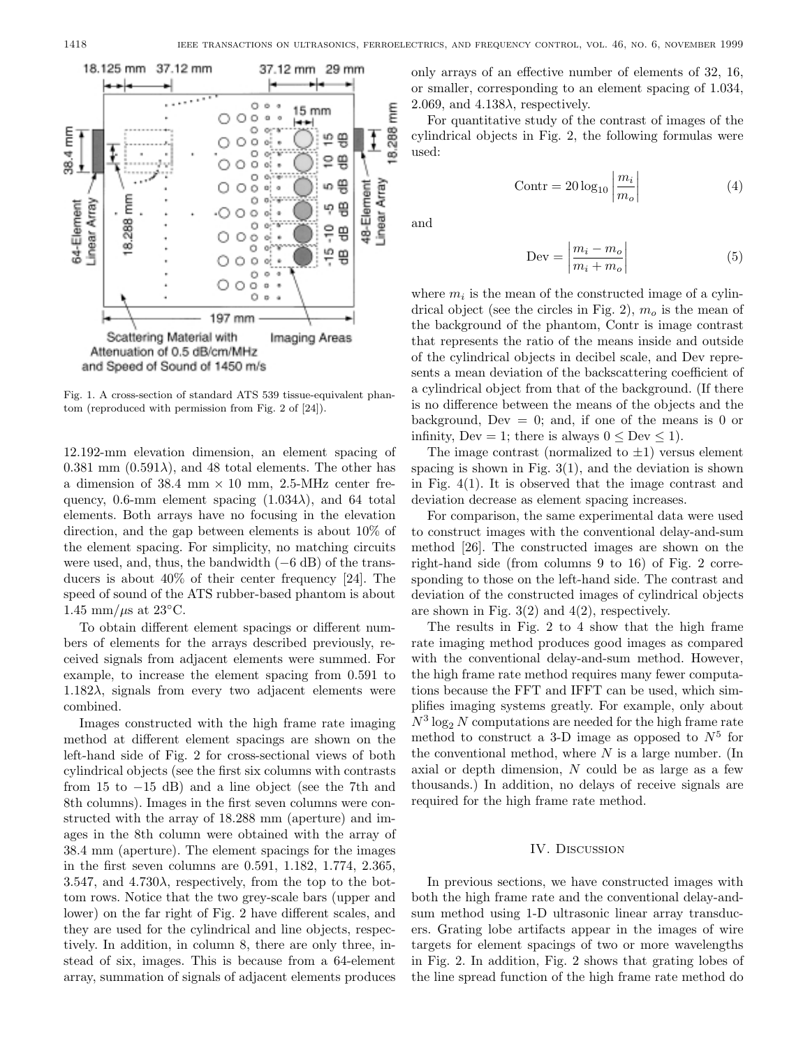

Fig. 1. A cross-section of standard ATS 539 tissue-equivalent phantom (reproduced with permission from Fig. 2 of [24]).

12.192-mm elevation dimension, an element spacing of 0.381 mm  $(0.591\lambda)$ , and 48 total elements. The other has a dimension of 38.4 mm  $\times$  10 mm, 2.5-MHz center frequency, 0.6-mm element spacing  $(1.034\lambda)$ , and 64 total elements. Both arrays have no focusing in the elevation direction, and the gap between elements is about 10% of the element spacing. For simplicity, no matching circuits were used, and, thus, the bandwidth  $(-6 \text{ dB})$  of the transducers is about 40% of their center frequency [24]. The speed of sound of the ATS rubber-based phantom is about 1.45 mm/ $\mu$ s at 23°C.

To obtain different element spacings or different numbers of elements for the arrays described previously, received signals from adjacent elements were summed. For example, to increase the element spacing from 0.591 to 1.182 $\lambda$ , signals from every two adjacent elements were combined.

Images constructed with the high frame rate imaging method at different element spacings are shown on the left-hand side of Fig. 2 for cross-sectional views of both cylindrical objects (see the first six columns with contrasts from 15 to  $-15$  dB) and a line object (see the 7th and 8th columns). Images in the first seven columns were constructed with the array of 18.288 mm (aperture) and images in the 8th column were obtained with the array of 38.4 mm (aperture). The element spacings for the images in the first seven columns are 0.591, 1.182, 1.774, 2.365, 3.547, and 4.730 $\lambda$ , respectively, from the top to the bottom rows. Notice that the two grey-scale bars (upper and lower) on the far right of Fig. 2 have different scales, and they are used for the cylindrical and line objects, respectively. In addition, in column 8, there are only three, instead of six, images. This is because from a 64-element array, summation of signals of adjacent elements produces

only arrays of an effective number of elements of 32, 16, or smaller, corresponding to an element spacing of 1.034, 2.069, and  $4.138\lambda$ , respectively.

For quantitative study of the contrast of images of the cylindrical objects in Fig. 2, the following formulas were used:

$$
Contr = 20 \log_{10} \left| \frac{m_i}{m_o} \right| \tag{4}
$$

and

$$
Dev = \left| \frac{m_i - m_o}{m_i + m_o} \right| \tag{5}
$$

where  $m_i$  is the mean of the constructed image of a cylindrical object (see the circles in Fig. 2),  $m<sub>o</sub>$  is the mean of the background of the phantom, Contr is image contrast that represents the ratio of the means inside and outside of the cylindrical objects in decibel scale, and Dev represents a mean deviation of the backscattering coefficient of a cylindrical object from that of the background. (If there is no difference between the means of the objects and the background, Dev  $= 0$ ; and, if one of the means is 0 or infinity, Dev = 1; there is always  $0 <$  Dev  $< 1$ ).

The image contrast (normalized to  $\pm 1$ ) versus element spacing is shown in Fig.  $3(1)$ , and the deviation is shown in Fig. 4(1). It is observed that the image contrast and deviation decrease as element spacing increases.

For comparison, the same experimental data were used to construct images with the conventional delay-and-sum method [26]. The constructed images are shown on the right-hand side (from columns 9 to 16) of Fig. 2 corresponding to those on the left-hand side. The contrast and deviation of the constructed images of cylindrical objects are shown in Fig.  $3(2)$  and  $4(2)$ , respectively.

The results in Fig. 2 to 4 show that the high frame rate imaging method produces good images as compared with the conventional delay-and-sum method. However, the high frame rate method requires many fewer computations because the FFT and IFFT can be used, which simplifies imaging systems greatly. For example, only about  $N^3 \log_2 N$  computations are needed for the high frame rate method to construct a 3-D image as opposed to  $N^5$  for the conventional method, where  $N$  is a large number. (In axial or depth dimension, N could be as large as a few thousands.) In addition, no delays of receive signals are required for the high frame rate method.

## IV. Discussion

In previous sections, we have constructed images with both the high frame rate and the conventional delay-andsum method using 1-D ultrasonic linear array transducers. Grating lobe artifacts appear in the images of wire targets for element spacings of two or more wavelengths in Fig. 2. In addition, Fig. 2 shows that grating lobes of the line spread function of the high frame rate method do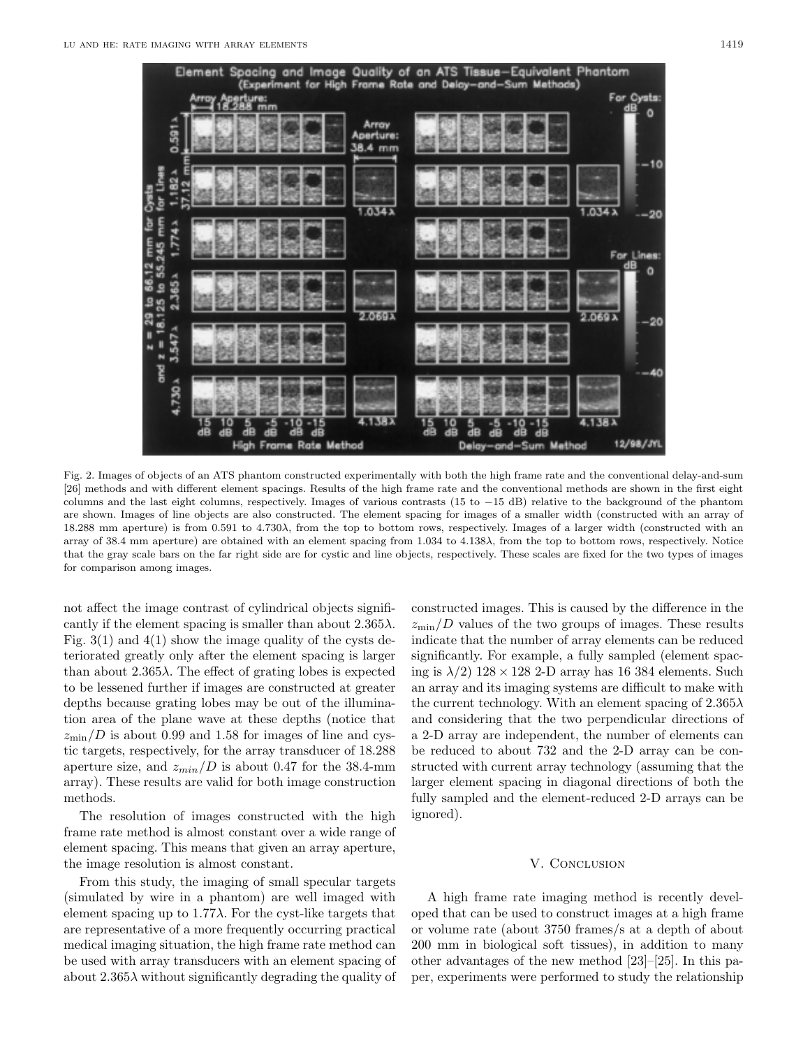

Fig. 2. Images of objects of an ATS phantom constructed experimentally with both the high frame rate and the conventional delay-and-sum [26] methods and with different element spacings. Results of the high frame rate and the conventional methods are shown in the first eight columns and the last eight columns, respectively. Images of various contrasts (15 to −15 dB) relative to the background of the phantom are shown. Images of line objects are also constructed. The element spacing for images of a smaller width (constructed with an array of 18.288 mm aperture) is from 0.591 to  $4.730\lambda$ , from the top to bottom rows, respectively. Images of a larger width (constructed with an array of 38.4 mm aperture) are obtained with an element spacingfrom 1.034 to 4.138λ, from the top to bottom rows, respectively. Notice that the gray scale bars on the far right side are for cystic and line objects, respectively. These scales are fixed for the two types of images for comparison among images.

not affect the image contrast of cylindrical objects significantly if the element spacing is smaller than about  $2.365\lambda$ . Fig.  $3(1)$  and  $4(1)$  show the image quality of the cysts deteriorated greatly only after the element spacing is larger than about  $2.365\lambda$ . The effect of grating lobes is expected to be lessened further if images are constructed at greater depths because grating lobes may be out of the illumination area of the plane wave at these depths (notice that  $z_{\rm min}/D$  is about 0.99 and 1.58 for images of line and cystic targets, respectively, for the array transducer of 18.288 aperture size, and  $z_{min}/D$  is about 0.47 for the 38.4-mm array). These results are valid for both image construction methods.

The resolution of images constructed with the high frame rate method is almost constant over a wide range of element spacing. This means that given an array aperture, the image resolution is almost constant.

From this study, the imaging of small specular targets (simulated by wire in a phantom) are well imaged with element spacing up to  $1.77\lambda$ . For the cyst-like targets that are representative of a more frequently occurring practical medical imaging situation, the high frame rate method can be used with array transducers with an element spacing of about  $2.365\lambda$  without significantly degrading the quality of

constructed images. This is caused by the difference in the  $z_{\rm min}/D$  values of the two groups of images. These results indicate that the number of array elements can be reduced significantly. For example, a fully sampled (element spacing is  $\lambda/2$ ) 128 × 128 2-D array has 16 384 elements. Such an array and its imaging systems are difficult to make with the current technology. With an element spacing of  $2.365\lambda$ and considering that the two perpendicular directions of a 2-D array are independent, the number of elements can be reduced to about 732 and the 2-D array can be constructed with current array technology (assuming that the larger element spacing in diagonal directions of both the fully sampled and the element-reduced 2-D arrays can be ignored).

## V. CONCLUSION

A high frame rate imaging method is recently developed that can be used to construct images at a high frame or volume rate (about 3750 frames/s at a depth of about 200 mm in biological soft tissues), in addition to many other advantages of the new method [23]–[25]. In this paper, experiments were performed to study the relationship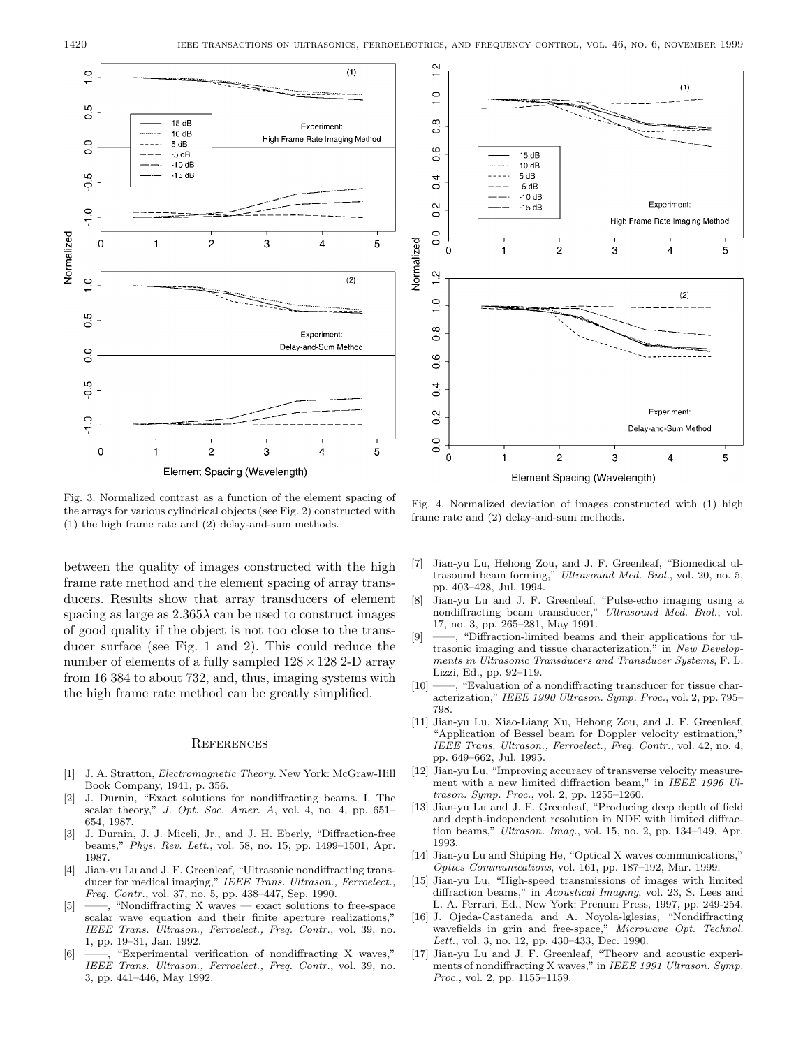

Fig. 3. Normalized contrast as a function of the element spacing of the arrays for various cylindrical objects (see Fig. 2) constructed with (1) the high frame rate and (2) delay-and-sum methods.

between the quality of images constructed with the high frame rate method and the element spacing of array transducers. Results show that array transducers of element spacing as large as  $2.365\lambda$  can be used to construct images of good quality if the object is not too close to the transducer surface (see Fig. 1 and 2). This could reduce the number of elements of a fully sampled  $128 \times 128$  2-D array from 16 384 to about 732, and, thus, imaging systems with the high frame rate method can be greatly simplified.

### **REFERENCES**

- [1] J. A. Stratton, Electromagnetic Theory. New York: McGraw-Hill Book Company, 1941, p. 356.
- [2] J. Durnin, "Exact solutions for nondiffractingbeams. I. The scalar theory," J. Opt. Soc. Amer. A, vol. 4, no. 4, pp. 651-654, 1987.
- [3] J. Durnin, J. J. Miceli, Jr., and J. H. Eberly, "Diffraction-free beams," Phys. Rev. Lett., vol. 58, no. 15, pp. 1499–1501, Apr. 1987.
- [4] Jian-yu Lu and J. F. Greenleaf, "Ultrasonic nondiffracting transducer for medical imaging," IEEE Trans. Ultrason., Ferroelect., Freq. Contr., vol. 37, no. 5, pp. 438–447, Sep. 1990.
- [5] ——, "NondiffractingX waves exact solutions to free-space scalar wave equation and their finite aperture realizations," IEEE Trans. Ultrason., Ferroelect., Freq. Contr., vol. 39, no. 1, pp. 19–31, Jan. 1992.
- [6] ——, "Experimental verification of nondiffractingX waves," IEEE Trans. Ultrason., Ferroelect., Freq. Contr., vol. 39, no. 3, pp. 441–446, May 1992.



Fig. 4. Normalized deviation of images constructed with (1) high frame rate and (2) delay-and-sum methods.

- [7] Jian-yu Lu, HehongZou, and J. F. Greenleaf, "Biomedical ultrasound beam forming," Ultrasound Med. Biol., vol. 20, no. 5, pp. 403–428, Jul. 1994.
- [8] Jian-yu Lu and J. F. Greenleaf, "Pulse-echo imaging using a nondiffracting beam transducer," Ultrasound Med. Biol., vol. 17, no. 3, pp. 265–281, May 1991.
- [9] ——, "Diffraction-limited beams and their applications for ultrasonic imaging and tissue characterization," in New Developments in Ultrasonic Transducers and Transducer Systems, F. L. Lizzi, Ed., pp. 92–119.
- $[10]$  ——, "Evaluation of a nondiffracting transducer for tissue characterization," IEEE 1990 Ultrason. Symp. Proc., vol. 2, pp. 795– 798.
- [11] Jian-yu Lu, Xiao-Liang Xu, Hehong Zou, and J. F. Greenleaf, "Application of Bessel beam for Doppler velocity estimation," IEEE Trans. Ultrason., Ferroelect., Freq. Contr., vol. 42, no. 4, pp. 649–662, Jul. 1995.
- [12] Jian-yu Lu, "Improving accuracy of transverse velocity measurement with a new limited diffraction beam," in IEEE 1996 Ultrason. Symp. Proc., vol. 2, pp. 1255–1260.
- [13] Jian-yu Lu and J. F. Greenleaf, "Producing deep depth of field and depth-independent resolution in NDE with limited diffraction beams," Ultrason. Imag., vol. 15, no. 2, pp. 134–149, Apr. 1993.
- [14] Jian-yu Lu and Shiping He, "Optical X waves communications," Optics Communications, vol. 161, pp. 187–192, Mar. 1999.
- [15] Jian-yu Lu, "High-speed transmissions of images with limited diffraction beams," in Acoustical Imaging, vol. 23, S. Lees and L. A. Ferrari, Ed., New York: Prenum Press, 1997, pp. 249-254.
- [16] J. Ojeda-Castaneda and A. Noyola-lglesias, "Nondiffracting wavefields in grin and free-space," Microwave Opt. Technol. Lett., vol. 3, no. 12, pp. 430–433, Dec. 1990.
- [17] Jian-yu Lu and J. F. Greenleaf, "Theory and acoustic experiments of nondiffractingX waves," in IEEE 1991 Ultrason. Symp. Proc., vol. 2, pp. 1155–1159.